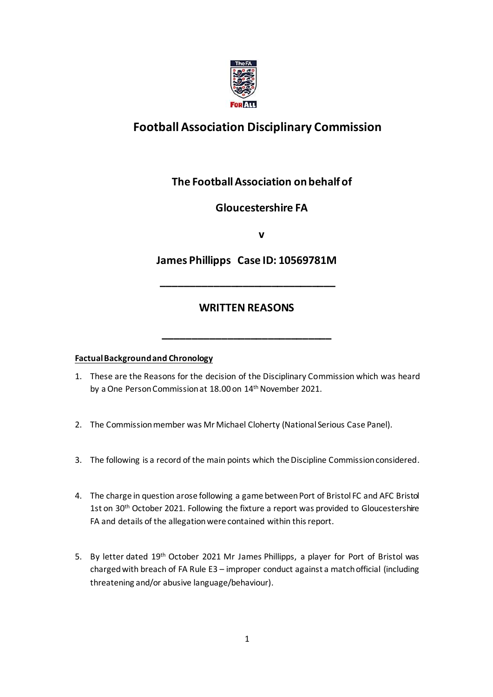

# **Football Association Disciplinary Commission**

# **The FootballAssociation on behalf of**

# **Gloucestershire FA**

**v**

# **James Phillipps Case ID: 10569781M**

 **\_\_\_\_\_\_\_\_\_\_\_\_\_\_\_\_\_\_\_\_\_\_\_\_\_\_\_\_\_\_**

## **WRITTEN REASONS**

**\_\_\_\_\_\_\_\_\_\_\_\_\_\_\_\_\_\_\_\_\_\_\_\_\_\_\_\_\_**

## **Factual Background and Chronology**

- 1. These are the Reasons for the decision of the Disciplinary Commission which was heard by a One Person Commission at 18.00 on 14th November 2021.
- 2. The Commission member was Mr Michael Cloherty (National Serious Case Panel).
- 3. The following is a record of the main points which the Discipline Commission considered.
- 4. The charge in question arose following a game between Port of Bristol FC and AFC Bristol 1st on 30<sup>th</sup> October 2021. Following the fixture a report was provided to Gloucestershire FA and details of the allegation were contained within this report.
- 5. By letter dated 19<sup>th</sup> October 2021 Mr James Phillipps, a player for Port of Bristol was charged with breach of FA Rule E3 – improper conduct against a match official (including threatening and/or abusive language/behaviour).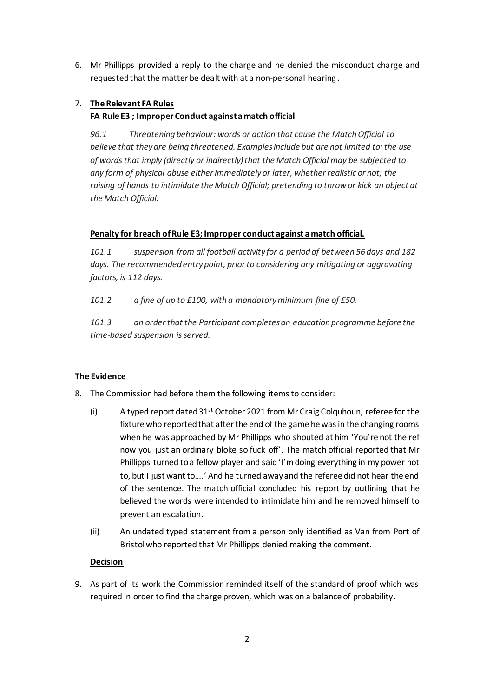6. Mr Phillipps provided a reply to the charge and he denied the misconduct charge and requested that the matter be dealt with at a non-personal hearing .

## 7. **The Relevant FA Rules FA Rule E3 ; Improper Conduct against a match official**

*96.1 Threatening behaviour: words or action that cause the Match Official to believe that they are being threatened. Examples include but are not limited to: the use of words that imply (directly or indirectly) that the Match Official may be subjected to any form of physical abuse either immediately or later, whether realistic or not; the*  raising of hands to intimidate the Match Official; pretending to throw or kick an object at *the Match Official.*

### **Penalty for breach of Rule E3; Improper conduct against a match official.**

*101.1 suspension from all football activity for a period of between 56 days and 182*  days. The recommended entry point, prior to considering any mitigating or aggravating *factors, is 112 days.*

*101.2 a fine of up to £100, with a mandatory minimum fine of £50.*

*101.3 an order that the Participant completes an education programme before the time-based suspension is served.*

#### **The Evidence**

- 8. The Commission had before them the following items to consider:
	- (i) A typed report dated 31st October 2021 from Mr Craig Colquhoun, referee for the fixture who reported that after the end of the game he was in the changing rooms when he was approached by Mr Phillipps who shouted at him 'You're not the ref now you just an ordinary bloke so fuck off'. The match official reported that Mr Phillipps turned to a fellow player and said 'I'm doing everything in my power not to, but I just want to….' And he turned away and the referee did not hear the end of the sentence. The match official concluded his report by outlining that he believed the words were intended to intimidate him and he removed himself to prevent an escalation.
	- (ii) An undated typed statement from a person only identified as Van from Port of Bristol who reported that Mr Phillipps denied making the comment.

### **Decision**

9. As part of its work the Commission reminded itself of the standard of proof which was required in order to find the charge proven, which was on a balance of probability.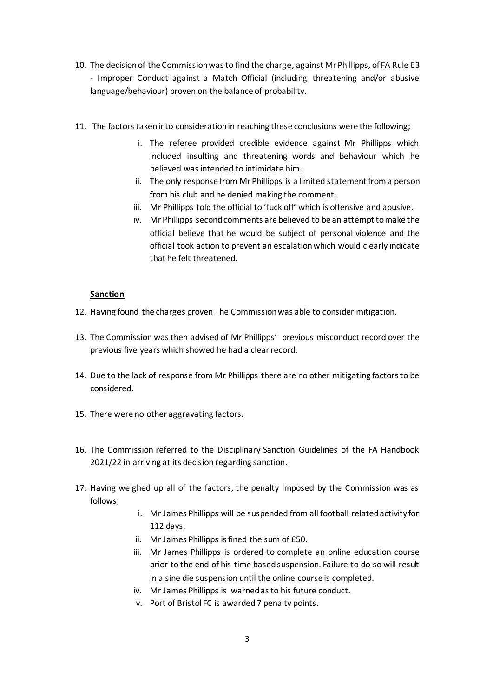- 10. The decision of the Commission was to find the charge, against Mr Phillipps, of FA Rule E3 - Improper Conduct against a Match Official (including threatening and/or abusive language/behaviour) proven on the balance of probability.
- 11. The factors taken into consideration in reaching these conclusions were the following;
	- i. The referee provided credible evidence against Mr Phillipps which included insulting and threatening words and behaviour which he believed was intended to intimidate him.
	- ii. The only response from Mr Phillipps is a limited statement froma person from his club and he denied making the comment.
	- iii. Mr Phillipps told the official to 'fuck off' which is offensive and abusive.
	- iv. Mr Phillipps second comments are believed to be an attempt to make the official believe that he would be subject of personal violence and the official took action to prevent an escalation which would clearly indicate that he felt threatened.

#### **Sanction**

- 12. Having found the charges proven The Commission was able to consider mitigation.
- 13. The Commission wasthen advised of Mr Phillipps' previous misconduct record over the previous five years which showed he had a clear record.
- 14. Due to the lack of response from Mr Phillipps there are no other mitigating factors to be considered.
- 15. There were no other aggravating factors.
- 16. The Commission referred to the Disciplinary Sanction Guidelines of the FA Handbook 2021/22 in arriving at its decision regarding sanction.
- 17. Having weighed up all of the factors, the penalty imposed by the Commission was as follows;
	- i. Mr James Phillipps will be suspended from all football related activity for 112 days.
	- ii. Mr James Phillipps is fined the sum of £50.
	- iii. Mr James Phillipps is ordered to complete an online education course prior to the end of his time based suspension. Failure to do so will result in a sine die suspension until the online course is completed.
	- iv. Mr James Phillipps is warned as to his future conduct.
	- v. Port of Bristol FC is awarded 7 penalty points.